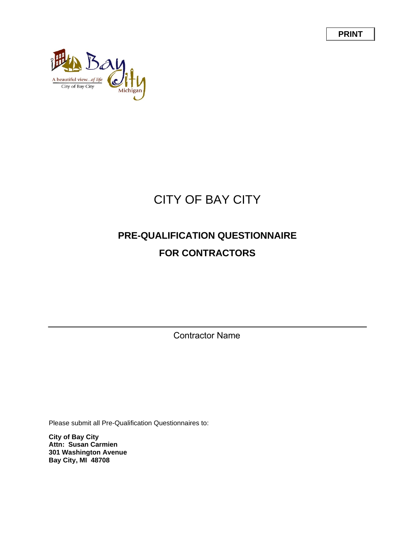**PRINT**



## CITY OF BAY CITY

## **PRE-QUALIFICATION QUESTIONNAIRE FOR CONTRACTORS**

Contractor Name

Please submit all Pre-Qualification Questionnaires to:

**City of Bay City Attn: Susan Carmien 301 Washington Avenue Bay City, MI 48708**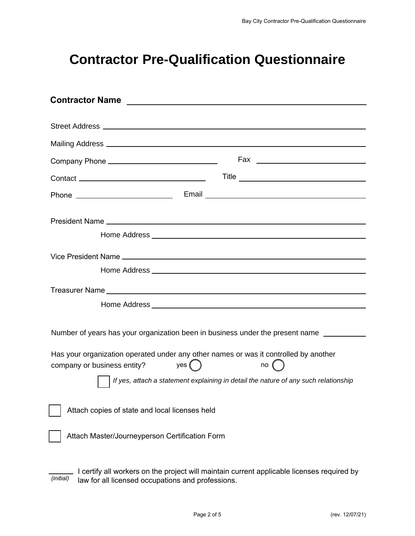## **Contractor Pre-Qualification Questionnaire**

| <b>Contractor Name</b><br><u> Andreas Andreas Andreas Andreas Andreas Andreas Andreas Andreas Andreas Andreas Andreas Andreas Andreas Andreas Andreas Andreas Andreas Andreas Andreas Andreas Andreas Andreas Andreas Andreas Andreas Andreas Andreas Andr</u> |                                                                                            |
|----------------------------------------------------------------------------------------------------------------------------------------------------------------------------------------------------------------------------------------------------------------|--------------------------------------------------------------------------------------------|
|                                                                                                                                                                                                                                                                |                                                                                            |
|                                                                                                                                                                                                                                                                |                                                                                            |
|                                                                                                                                                                                                                                                                |                                                                                            |
|                                                                                                                                                                                                                                                                |                                                                                            |
|                                                                                                                                                                                                                                                                |                                                                                            |
|                                                                                                                                                                                                                                                                |                                                                                            |
|                                                                                                                                                                                                                                                                |                                                                                            |
|                                                                                                                                                                                                                                                                |                                                                                            |
|                                                                                                                                                                                                                                                                |                                                                                            |
|                                                                                                                                                                                                                                                                |                                                                                            |
|                                                                                                                                                                                                                                                                |                                                                                            |
| Number of years has your organization been in business under the present name                                                                                                                                                                                  |                                                                                            |
| Has your organization operated under any other names or was it controlled by another<br>yes $($ $)$<br>company or business entity?                                                                                                                             | no (                                                                                       |
|                                                                                                                                                                                                                                                                | If yes, attach a statement explaining in detail the nature of any such relationship        |
| Attach copies of state and local licenses held                                                                                                                                                                                                                 |                                                                                            |
| Attach Master/Journeyperson Certification Form                                                                                                                                                                                                                 |                                                                                            |
|                                                                                                                                                                                                                                                                | I certify all workers on the project will maintain current applicable licenses required by |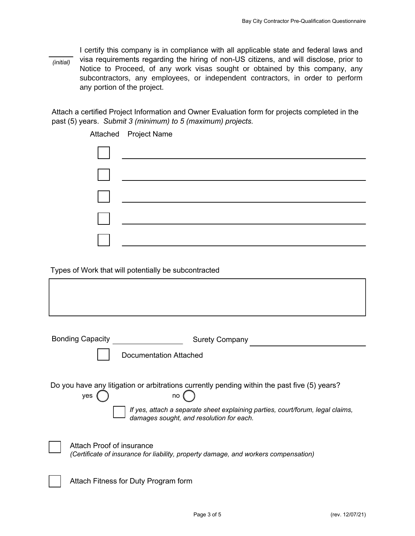I certify this company is in compliance with all applicable state and federal laws and visa requirements regarding the hiring of non-US citizens, and will disclose, prior to Notice to Proceed, of any work visas sought or obtained by this company, any subcontractors, any employees, or independent contractors, in order to perform any portion of the project. *(initial)*

Attach a certified Project Information and Owner Evaluation form for projects completed in the past (5) years. *Submit 3 (minimum) to 5 (maximum) projects.*

|                                                      | Attached Project Name                                                                                                  |  |  |  |  |  |
|------------------------------------------------------|------------------------------------------------------------------------------------------------------------------------|--|--|--|--|--|
|                                                      |                                                                                                                        |  |  |  |  |  |
|                                                      |                                                                                                                        |  |  |  |  |  |
|                                                      | <u> 1989 - Johann Stoff, deutscher Stoffen und der Stoffen und der Stoffen und der Stoffen und der Stoffen und der</u> |  |  |  |  |  |
|                                                      | <u> 1980 - Andrea Andrew Maria (h. 1980).</u>                                                                          |  |  |  |  |  |
|                                                      |                                                                                                                        |  |  |  |  |  |
|                                                      |                                                                                                                        |  |  |  |  |  |
| Types of Work that will potentially be subcontracted |                                                                                                                        |  |  |  |  |  |
|                                                      |                                                                                                                        |  |  |  |  |  |
|                                                      |                                                                                                                        |  |  |  |  |  |

| <b>Bonding Capacity</b><br><b>Surety Company</b>                                                                           |  |  |  |  |  |
|----------------------------------------------------------------------------------------------------------------------------|--|--|--|--|--|
| Documentation Attached                                                                                                     |  |  |  |  |  |
| Do you have any litigation or arbitrations currently pending within the past five (5) years?<br>ves<br>no                  |  |  |  |  |  |
| If yes, attach a separate sheet explaining parties, court/forum, legal claims,<br>damages sought, and resolution for each. |  |  |  |  |  |
| Attach Proof of insurance<br>(Certificate of insurance for liability, property damage, and workers compensation)           |  |  |  |  |  |
| Attach Fitness for Duty Program form                                                                                       |  |  |  |  |  |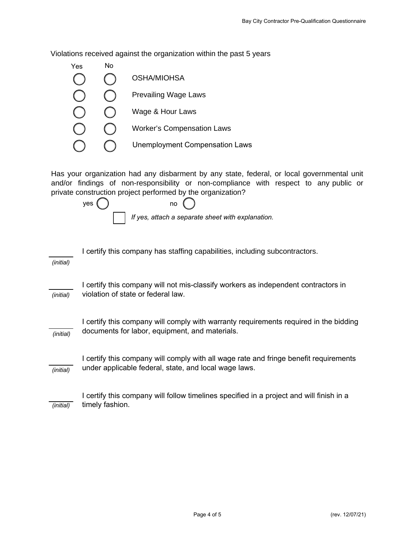Violations received against the organization within the past 5 years



Has your organization had any disbarment by any state, federal, or local governmental unit and/or findings of non-responsibility or non-compliance with respect to any public or private construction project performed by the organization?

*If yes, attach a separate sheet with explanation.*  $yes ()$  no

| (initial) | I certify this company has staffing capabilities, including subcontractors.                                                                    |
|-----------|------------------------------------------------------------------------------------------------------------------------------------------------|
| (initial) | I certify this company will not mis-classify workers as independent contractors in<br>violation of state or federal law.                       |
| (initial) | I certify this company will comply with warranty requirements required in the bidding<br>documents for labor, equipment, and materials.        |
| (initial) | I certify this company will comply with all wage rate and fringe benefit requirements<br>under applicable federal, state, and local wage laws. |
| (initial) | I certify this company will follow timelines specified in a project and will finish in a<br>timely fashion.                                    |